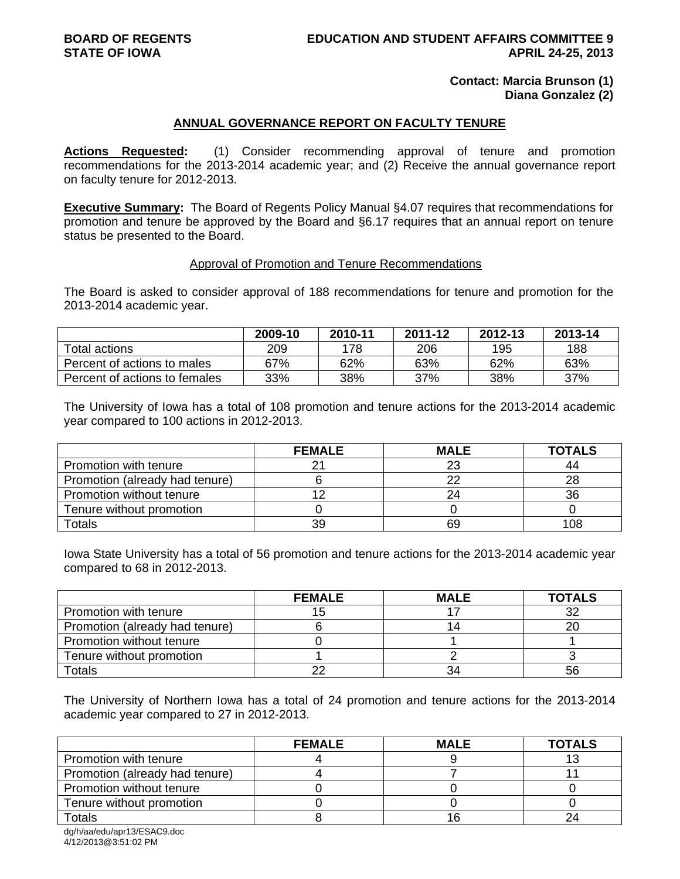### **Contact: Marcia Brunson (1) Diana Gonzalez (2)**

#### **ANNUAL GOVERNANCE REPORT ON FACULTY TENURE**

**Actions Requested:** (1) Consider recommending approval of tenure and promotion recommendations for the 2013-2014 academic year; and (2) Receive the annual governance report on faculty tenure for 2012-2013.

**Executive Summary:** The Board of Regents Policy Manual §4.07 requires that recommendations for promotion and tenure be approved by the Board and §6.17 requires that an annual report on tenure status be presented to the Board.

#### Approval of Promotion and Tenure Recommendations

The Board is asked to consider approval of 188 recommendations for tenure and promotion for the 2013-2014 academic year.

|                               | 2009-10 | 2010-11 | 2011-12 | 2012-13 | 2013-14 |
|-------------------------------|---------|---------|---------|---------|---------|
| Total actions                 | 209     | 178     | 206     | 195     | 188     |
| Percent of actions to males   | 67%     | 62%     | 63%     | 62%     | 63%     |
| Percent of actions to females | 33%     | 38%     | 37%     | 38%     | 37%     |

The University of Iowa has a total of 108 promotion and tenure actions for the 2013-2014 academic year compared to 100 actions in 2012-2013.

|                                | <b>FEMALE</b> | <b>MALE</b> | <b>TOTALS</b> |
|--------------------------------|---------------|-------------|---------------|
| Promotion with tenure          |               | 23          | 44            |
| Promotion (already had tenure) |               | 22          | 28            |
| Promotion without tenure       |               | 24          | 36            |
| Tenure without promotion       |               |             |               |
| Totals                         | 39            | 69          | 108           |

Iowa State University has a total of 56 promotion and tenure actions for the 2013-2014 academic year compared to 68 in 2012-2013.

|                                | <b>FEMALE</b> | <b>MALE</b> | <b>TOTALS</b> |
|--------------------------------|---------------|-------------|---------------|
| Promotion with tenure          |               |             | 32            |
| Promotion (already had tenure) |               | 14          |               |
| Promotion without tenure       |               |             |               |
| Tenure without promotion       |               |             |               |
| Totals                         | nr            | 34          | 56            |

The University of Northern Iowa has a total of 24 promotion and tenure actions for the 2013-2014 academic year compared to 27 in 2012-2013.

|                                | <b>FEMALE</b> | <b>MALE</b> | <b>TOTALS</b> |
|--------------------------------|---------------|-------------|---------------|
| Promotion with tenure          |               |             |               |
| Promotion (already had tenure) |               |             |               |
| Promotion without tenure       |               |             |               |
| Tenure without promotion       |               |             |               |
| Totals                         |               |             |               |

dg/h/aa/edu/apr13/ESAC9.doc 4/12/2013@3:51:02 PM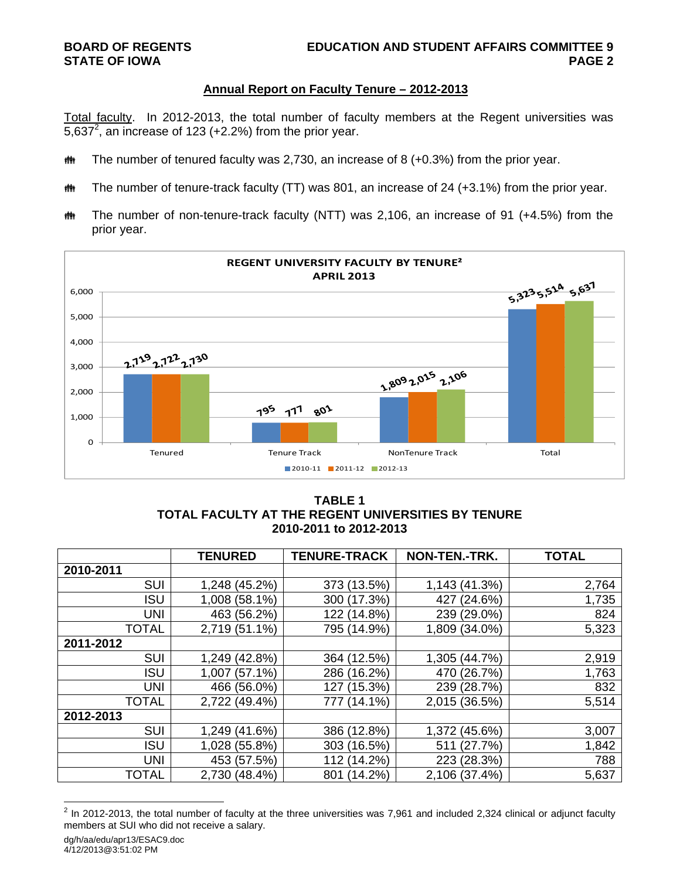# **Annual Report on Faculty Tenure – 2012-2013**

Total faculty. In 2012-2013, the total number of faculty members at the Regent universities was 5,637<sup>2</sup>, an increase of 123 (+2.2%) from the prior year.

- **##** The number of tenured faculty was 2,730, an increase of 8 (+0.3%) from the prior year.
- **##** The number of tenure-track faculty (TT) was 801, an increase of 24 (+3.1%) from the prior year.
- The number of non-tenure-track faculty (NTT) was 2,106, an increase of 91 (+4.5%) from the prior year.



# **TABLE 1 TOTAL FACULTY AT THE REGENT UNIVERSITIES BY TENURE 2010-2011 to 2012-2013**

|              | <b>TENURED</b> | <b>TENURE-TRACK</b> | NON-TEN.-TRK. | <b>TOTAL</b> |
|--------------|----------------|---------------------|---------------|--------------|
| 2010-2011    |                |                     |               |              |
| <b>SUI</b>   | 1,248 (45.2%)  | 373 (13.5%)         | 1,143 (41.3%) | 2,764        |
| <b>ISU</b>   | 1,008 (58.1%)  | 300 (17.3%)         | 427 (24.6%)   | 1,735        |
| <b>UNI</b>   | 463 (56.2%)    | 122 (14.8%)         | 239 (29.0%)   | 824          |
| <b>TOTAL</b> | 2,719 (51.1%)  | 795 (14.9%)         | 1,809 (34.0%) | 5,323        |
| 2011-2012    |                |                     |               |              |
| <b>SUI</b>   | 1,249 (42.8%)  | 364 (12.5%)         | 1,305 (44.7%) | 2,919        |
| <b>ISU</b>   | 1,007 (57.1%)  | 286 (16.2%)         | 470 (26.7%)   | 1,763        |
| <b>UNI</b>   | 466 (56.0%)    | 127 (15.3%)         | 239 (28.7%)   | 832          |
| <b>TOTAL</b> | 2,722 (49.4%)  | 777 (14.1%)         | 2,015 (36.5%) | 5,514        |
| 2012-2013    |                |                     |               |              |
| <b>SUI</b>   | 1,249 (41.6%)  | 386 (12.8%)         | 1,372 (45.6%) | 3,007        |
| <b>ISU</b>   | 1,028 (55.8%)  | 303 (16.5%)         | 511 (27.7%)   | 1,842        |
| <b>UNI</b>   | 453 (57.5%)    | 112 (14.2%)         | 223 (28.3%)   | 788          |
| <b>TOTAL</b> | 2,730 (48.4%)  | 801 (14.2%)         | 2,106 (37.4%) | 5,637        |

ermand and the total number of faculty at the three universities was 7,961 and included 2,324 clinical or adjunct faculty<br><sup>2</sup> In 2012-2013, the total number of faculty at the three universities was 7,961 and included 2,324 members at SUI who did not receive a salary.

dg/h/aa/edu/apr13/ESAC9.doc

<sup>4/12/2013@3:51:02</sup> PM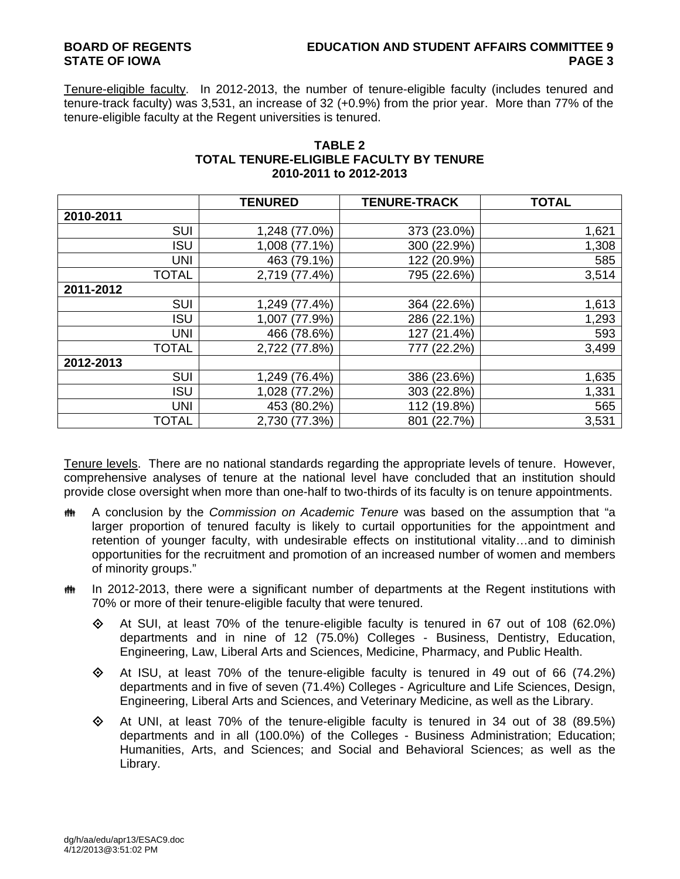# **BOARD OF REGENTS EDUCATION AND STUDENT AFFAIRS COMMITTEE 9 STATE OF IOWA** PAGE 3

Tenure-eligible faculty. In 2012-2013, the number of tenure-eligible faculty (includes tenured and tenure-track faculty) was 3,531, an increase of 32 (+0.9%) from the prior year. More than 77% of the tenure-eligible faculty at the Regent universities is tenured.

|              | <b>TENURED</b> | <b>TENURE-TRACK</b> | <b>TOTAL</b> |
|--------------|----------------|---------------------|--------------|
| 2010-2011    |                |                     |              |
| <b>SUI</b>   | 1,248 (77.0%)  | 373 (23.0%)         | 1,621        |
| <b>ISU</b>   | 1,008 (77.1%)  | 300 (22.9%)         | 1,308        |
| <b>UNI</b>   | 463 (79.1%)    | 122 (20.9%)         | 585          |
| <b>TOTAL</b> | 2,719 (77.4%)  | 795 (22.6%)         | 3,514        |
| 2011-2012    |                |                     |              |
| <b>SUI</b>   | 1,249 (77.4%)  | 364 (22.6%)         | 1,613        |
| ISU          | 1,007 (77.9%)  | 286 (22.1%)         | 1,293        |
| <b>UNI</b>   | 466 (78.6%)    | 127 (21.4%)         | 593          |
| <b>TOTAL</b> | 2,722 (77.8%)  | 777 (22.2%)         | 3,499        |
| 2012-2013    |                |                     |              |
| <b>SUI</b>   | 1,249 (76.4%)  | 386 (23.6%)         | 1,635        |
| <b>ISU</b>   | 1,028 (77.2%)  | 303 (22.8%)         | 1,331        |
| UNI          | 453 (80.2%)    | 112 (19.8%)         | 565          |
| <b>TOTAL</b> | 2,730 (77.3%)  | 801 (22.7%)         | 3,531        |

# **TABLE 2 TOTAL TENURE-ELIGIBLE FACULTY BY TENURE 2010-2011 to 2012-2013**

Tenure levels. There are no national standards regarding the appropriate levels of tenure. However, comprehensive analyses of tenure at the national level have concluded that an institution should provide close oversight when more than one-half to two-thirds of its faculty is on tenure appointments.

- A conclusion by the *Commission on Academic Tenure* was based on the assumption that "a larger proportion of tenured faculty is likely to curtail opportunities for the appointment and retention of younger faculty, with undesirable effects on institutional vitality…and to diminish opportunities for the recruitment and promotion of an increased number of women and members of minority groups."
- $\ddot{\mathbf{m}}$  In 2012-2013, there were a significant number of departments at the Regent institutions with 70% or more of their tenure-eligible faculty that were tenured.
	- $\Diamond$  At SUI, at least 70% of the tenure-eligible faculty is tenured in 67 out of 108 (62.0%) departments and in nine of 12 (75.0%) Colleges - Business, Dentistry, Education, Engineering, Law, Liberal Arts and Sciences, Medicine, Pharmacy, and Public Health.
	- $\Diamond$  At ISU, at least 70% of the tenure-eligible faculty is tenured in 49 out of 66 (74.2%) departments and in five of seven (71.4%) Colleges - Agriculture and Life Sciences, Design, Engineering, Liberal Arts and Sciences, and Veterinary Medicine, as well as the Library.
	- $\Diamond$  At UNI, at least 70% of the tenure-eligible faculty is tenured in 34 out of 38 (89.5%) departments and in all (100.0%) of the Colleges - Business Administration; Education; Humanities, Arts, and Sciences; and Social and Behavioral Sciences; as well as the Library.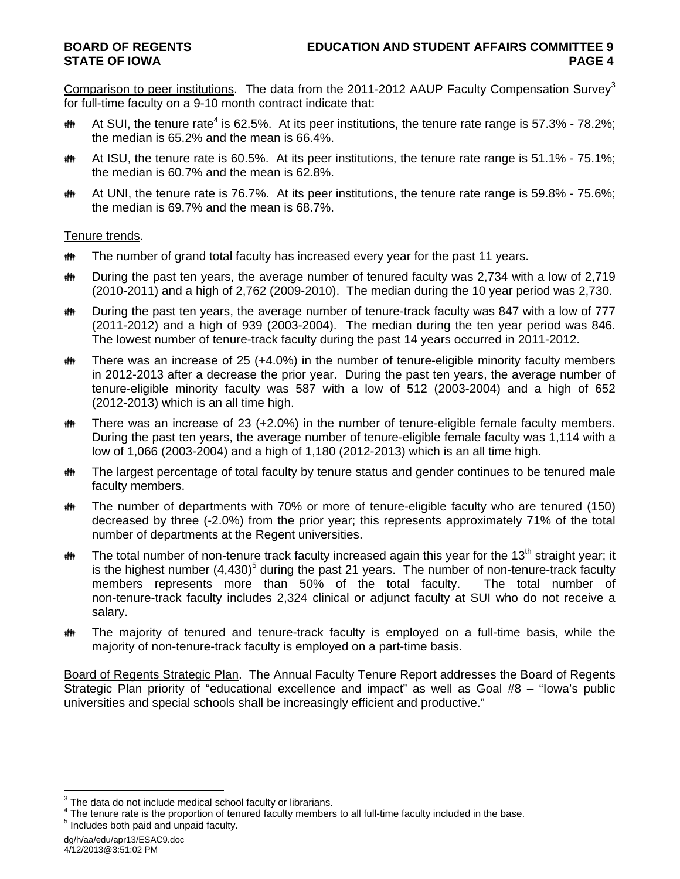Comparison to peer institutions. The data from the 2011-2012 AAUP Faculty Compensation Survey<sup>3</sup> for full-time faculty on a 9-10 month contract indicate that:

- **##** At SUI, the tenure rate<sup>4</sup> is 62.5%. At its peer institutions, the tenure rate range is 57.3% 78.2%; the median is 65.2% and the mean is 66.4%.
- **##** At ISU, the tenure rate is 60.5%. At its peer institutions, the tenure rate range is 51.1% 75.1%; the median is 60.7% and the mean is 62.8%.
- $\ddot{\mathbf{m}}$  At UNI, the tenure rate is 76.7%. At its peer institutions, the tenure rate range is 59.8% 75.6%; the median is 69.7% and the mean is 68.7%.

## Tenure trends.

- **##** The number of grand total faculty has increased every year for the past 11 years.
- **##** During the past ten years, the average number of tenured faculty was 2,734 with a low of 2,719 (2010-2011) and a high of 2,762 (2009-2010). The median during the 10 year period was 2,730.
- the During the past ten years, the average number of tenure-track faculty was 847 with a low of 777 (2011-2012) and a high of 939 (2003-2004). The median during the ten year period was 846. The lowest number of tenure-track faculty during the past 14 years occurred in 2011-2012.
- **##** There was an increase of 25 (+4.0%) in the number of tenure-eligible minority faculty members in 2012-2013 after a decrease the prior year. During the past ten years, the average number of tenure-eligible minority faculty was 587 with a low of 512 (2003-2004) and a high of 652 (2012-2013) which is an all time high.
- $m$  There was an increase of 23 (+2.0%) in the number of tenure-eligible female faculty members. During the past ten years, the average number of tenure-eligible female faculty was 1,114 with a low of 1,066 (2003-2004) and a high of 1,180 (2012-2013) which is an all time high.
- **##** The largest percentage of total faculty by tenure status and gender continues to be tenured male faculty members.
- **##** The number of departments with 70% or more of tenure-eligible faculty who are tenured (150) decreased by three (-2.0%) from the prior year; this represents approximately 71% of the total number of departments at the Regent universities.
- $\ddot{\mathbf{m}}$  The total number of non-tenure track faculty increased again this year for the 13<sup>th</sup> straight year; it is the highest number  $(4,430)^5$  during the past 21 years. The number of non-tenure-track faculty members represents more than 50% of the total faculty. The total number of non-tenure-track faculty includes 2,324 clinical or adjunct faculty at SUI who do not receive a salary.
- The majority of tenured and tenure-track faculty is employed on a full-time basis, while the majority of non-tenure-track faculty is employed on a part-time basis.

Board of Regents Strategic Plan. The Annual Faculty Tenure Report addresses the Board of Regents Strategic Plan priority of "educational excellence and impact" as well as Goal #8 – "Iowa's public universities and special schools shall be increasingly efficient and productive."

4/12/2013@3:51:02 PM

**EXECUTE:**<br><sup>3</sup> The data do not include medical school faculty or librarians.

 $^{4}$  The tenure rate is the proportion of tenured faculty members to all full-time faculty included in the base.<br><sup>5</sup> includes heth neid and unneid faculty.  $<sup>5</sup>$  Includes both paid and unpaid faculty.</sup>

dg/h/aa/edu/apr13/ESAC9.doc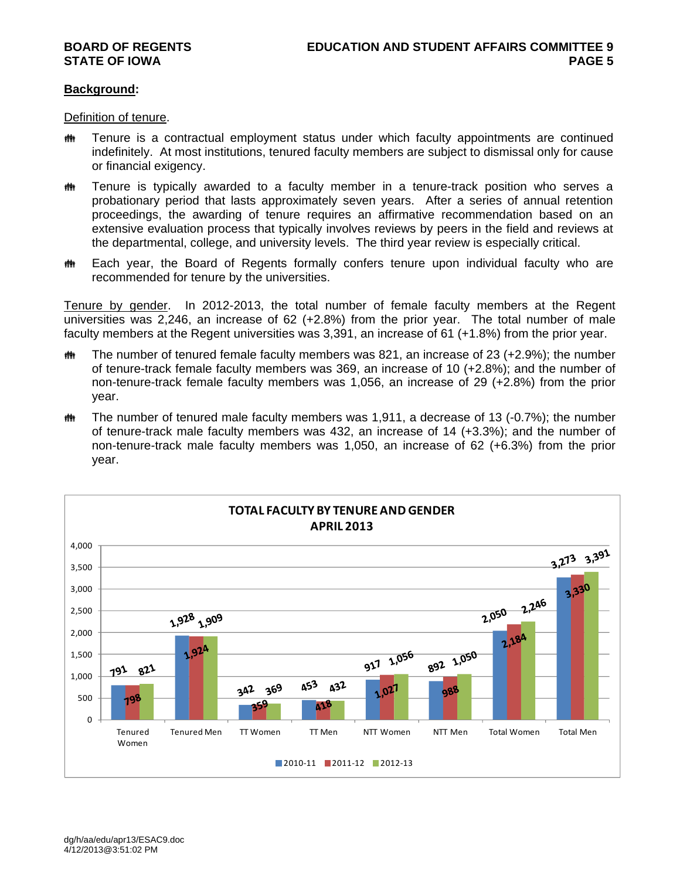# **Background:**

Definition of tenure.

- **##** Tenure is a contractual employment status under which faculty appointments are continued indefinitely. At most institutions, tenured faculty members are subject to dismissal only for cause or financial exigency.
- **##** Tenure is typically awarded to a faculty member in a tenure-track position who serves a probationary period that lasts approximately seven years. After a series of annual retention proceedings, the awarding of tenure requires an affirmative recommendation based on an extensive evaluation process that typically involves reviews by peers in the field and reviews at the departmental, college, and university levels. The third year review is especially critical.
- **##** Each year, the Board of Regents formally confers tenure upon individual faculty who are recommended for tenure by the universities.

Tenure by gender. In 2012-2013, the total number of female faculty members at the Regent universities was 2,246, an increase of 62 (+2.8%) from the prior year. The total number of male faculty members at the Regent universities was 3,391, an increase of 61 (+1.8%) from the prior year.

- $m$  The number of tenured female faculty members was 821, an increase of 23 (+2.9%); the number of tenure-track female faculty members was 369, an increase of 10 (+2.8%); and the number of non-tenure-track female faculty members was 1,056, an increase of 29 (+2.8%) from the prior year.
- $m$  The number of tenured male faculty members was 1,911, a decrease of 13 (-0.7%); the number of tenure-track male faculty members was 432, an increase of 14 (+3.3%); and the number of non-tenure-track male faculty members was 1,050, an increase of 62 (+6.3%) from the prior year.

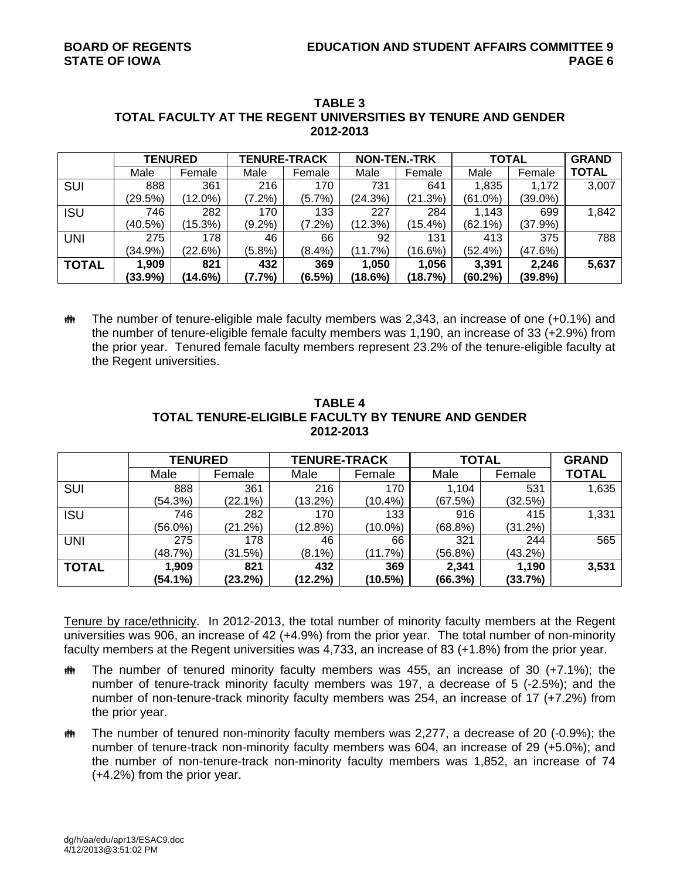|              | <b>TENURED</b> |         | <b>TENURE-TRACK</b> |           | <b>NON-TEN.-TRK</b> |            | <b>TOTAL</b> |         | <b>GRAND</b> |
|--------------|----------------|---------|---------------------|-----------|---------------------|------------|--------------|---------|--------------|
|              | Male           | Female  | Male                | Female    | Male                | Female     | Male         | Female  | <b>TOTAL</b> |
| <b>SUI</b>   | 888            | 361     | 216                 | 170       | 731                 | 641        | 1,835        | 1,172   | 3,007        |
|              | (29.5%)        | (12.0%) | $(7.2\%)$           | $(5.7\%)$ | (24.3%)             | (21.3%)    | (61.0%)      | (39.0%) |              |
| <b>ISU</b>   | 746            | 282     | 170                 | 133       | 227                 | 284        | 1,143        | 699     | 1,842        |
|              | (40.5%)        | (15.3%) | $(9.2\%)$           | $(7.2\%)$ | (12.3%)             | $(15.4\%)$ | $(62.1\%)$   | (37.9%) |              |
| <b>UNI</b>   | 275            | 178     | 46                  | 66        | 92                  | 131        | 413          | 375     | 788          |
|              | $(34.9\%)$     | (22.6%) | (5.8%)              | $(8.4\%)$ | (11.7%)             | (16.6%)    | (52.4%)      | (47.6%) |              |
| <b>TOTAL</b> | 1,909          | 821     | 432                 | 369       | 1,050               | 1,056      | 3,391        | 2,246   | 5,637        |
|              | (33.9%)        | (14.6%) | (7.7%)              | $(6.5\%)$ | (18.6%)             | (18.7%)    | (60.2%)      | (39.8%) |              |

#### **TABLE 3 TOTAL FACULTY AT THE REGENT UNIVERSITIES BY TENURE AND GENDER 2012-2013**

 The number of tenure-eligible male faculty members was 2,343, an increase of one (+0.1%) and the number of tenure-eligible female faculty members was 1,190, an increase of 33 (+2.9%) from the prior year. Tenured female faculty members represent 23.2% of the tenure-eligible faculty at the Regent universities.

|              | <b>TENURED</b> |         | <b>TENURE-TRACK</b> |            | <b>TOTAL</b> | <b>GRAND</b> |              |
|--------------|----------------|---------|---------------------|------------|--------------|--------------|--------------|
|              | Male           | Female  | Male                | Female     | Male         | Female       | <b>TOTAL</b> |
| SUI          | 888            | 361     | 216                 | 170        | 1,104        | 531          | 1,635        |
|              | (54.3%)        | (22.1%) | (13.2%)             | $(10.4\%)$ | (67.5%)      | (32.5%)      |              |
| <b>ISU</b>   | 746            | 282     | 170                 | 133        | 916          | 415          | 1,331        |
|              | $(56.0\%)$     | (21.2%) | (12.8%)             | $(10.0\%)$ | (68.8%)      | (31.2%)      |              |
| <b>UNI</b>   | 275            | 178     | 46                  | 66         | 321          | 244          | 565          |
|              | (48.7%)        | (31.5%) | $(8.1\%)$           | (11.7%)    | (56.8%)      | $(43.2\%)$   |              |
| <b>TOTAL</b> | 1,909          | 821     | 432                 | 369        | 2,341        | 1,190        | 3,531        |
|              | (54.1%)        | (23.2%) | $(12.2\%)$          | (10.5%)    | (66.3%)      | (33.7%)      |              |

## **TABLE 4 TOTAL TENURE-ELIGIBLE FACULTY BY TENURE AND GENDER 2012-2013**

Tenure by race/ethnicity. In 2012-2013, the total number of minority faculty members at the Regent universities was 906, an increase of 42 (+4.9%) from the prior year. The total number of non-minority faculty members at the Regent universities was 4,733, an increase of 83 (+1.8%) from the prior year.

- $m$  The number of tenured minority faculty members was 455, an increase of 30 (+7.1%); the number of tenure-track minority faculty members was 197, a decrease of 5 (-2.5%); and the number of non-tenure-track minority faculty members was 254, an increase of 17 (+7.2%) from the prior year.
- $m$  The number of tenured non-minority faculty members was 2,277, a decrease of 20 (-0.9%); the number of tenure-track non-minority faculty members was 604, an increase of 29 (+5.0%); and the number of non-tenure-track non-minority faculty members was 1,852, an increase of 74 (+4.2%) from the prior year.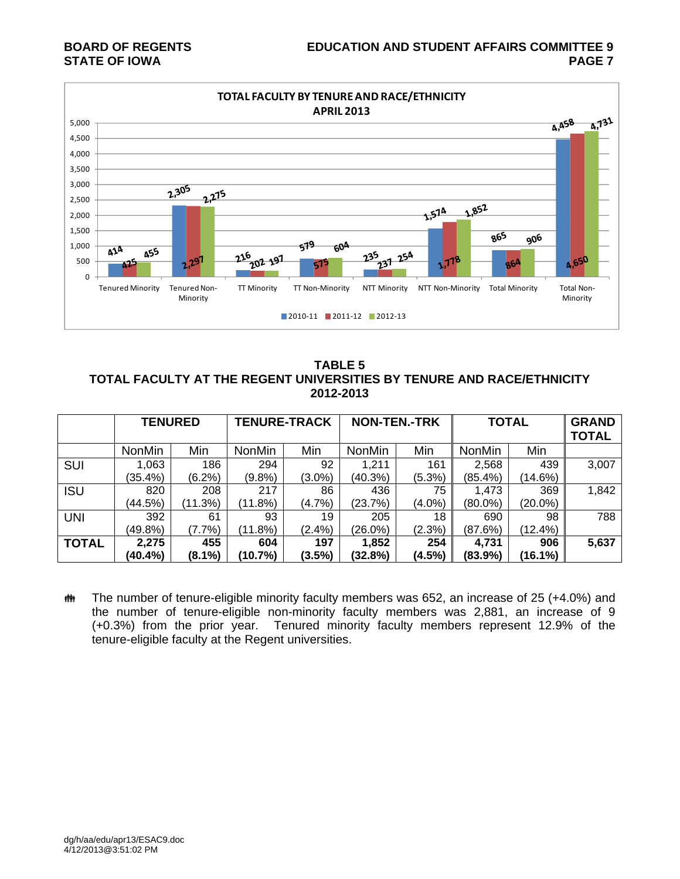

**TABLE 5 TOTAL FACULTY AT THE REGENT UNIVERSITIES BY TENURE AND RACE/ETHNICITY 2012-2013** 

|              |               | <b>TENURE-TRACK</b><br><b>TENURED</b> |               |           | <b>NON-TEN.-TRK</b> |           | <b>TOTAL</b>  |            | <b>GRAND</b><br><b>TOTAL</b> |
|--------------|---------------|---------------------------------------|---------------|-----------|---------------------|-----------|---------------|------------|------------------------------|
|              | <b>NonMin</b> | Min                                   | <b>NonMin</b> | Min       | NonMin              | Min       | <b>NonMin</b> | Min        |                              |
| <b>SUI</b>   | 1,063         | 186                                   | 294           | 92        | 1,211               | 161       | 2,568         | 439        | 3,007                        |
|              | (35.4%)       | $(6.2\%)$                             | $(9.8\%)$     | $(3.0\%)$ | (40.3%)             | (5.3%)    | $(85.4\%)$    | (14.6%)    |                              |
| ISU          | 820           | 208                                   | 217           | 86        | 436                 | 75        | 1,473         | 369        | 1,842                        |
|              | (44.5%)       | (11.3%)                               | (11.8%)       | $(4.7\%)$ | (23.7%)             | $(4.0\%)$ | $(80.0\%)$    | $(20.0\%)$ |                              |
| <b>UNI</b>   | 392           | 61                                    | 93            | 19        | 205                 | 18        | 690           | 98         | 788                          |
|              | $(49.8\%)$    | $(7.7\%)$                             | (11.8%)       | $(2.4\%)$ | $(26.0\%)$          | (2.3%)    | (87.6%)       | (12.4%)    |                              |
| <b>TOTAL</b> | 2,275         | 455                                   | 604           | 197       | 1,852               | 254       | 4,731         | 906        | 5,637                        |
|              | (40.4%)       | (8.1%)                                | (10.7%)       | $(3.5\%)$ | (32.8%)             | (4.5%)    | $(83.9\%)$    | (16.1%)    |                              |

**##** The number of tenure-eligible minority faculty members was 652, an increase of 25 (+4.0%) and the number of tenure-eligible non-minority faculty members was 2,881, an increase of 9 (+0.3%) from the prior year. Tenured minority faculty members represent 12.9% of the tenure-eligible faculty at the Regent universities.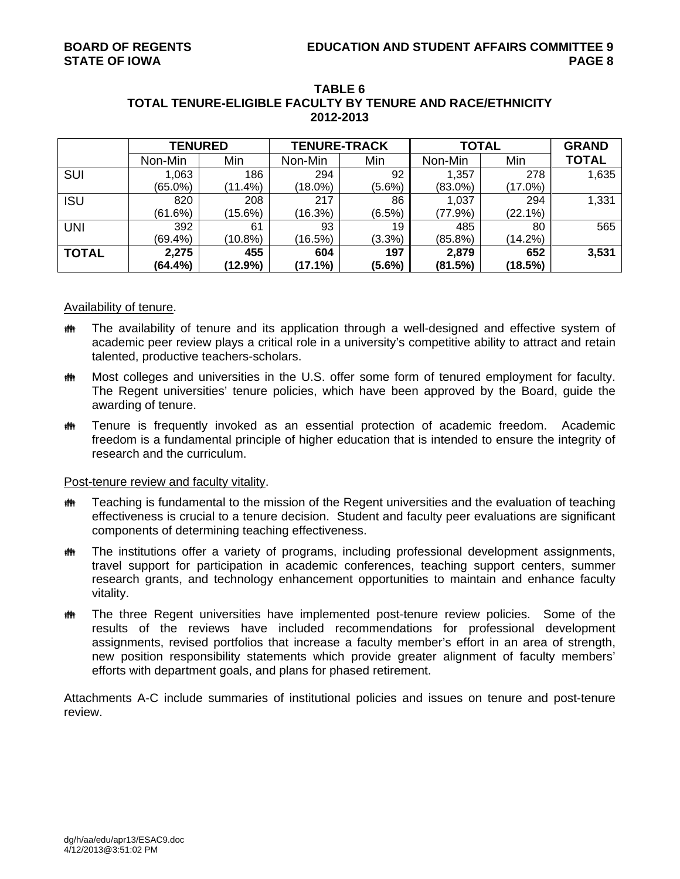|              | <b>TENURED</b> |            | <b>TENURE-TRACK</b> |           | <b>TOTAL</b> | <b>GRAND</b> |              |
|--------------|----------------|------------|---------------------|-----------|--------------|--------------|--------------|
|              | Non-Min        | Min        | Non-Min             | Min       | Non-Min      | Min          | <b>TOTAL</b> |
| <b>SUI</b>   | 1,063          | 186        | 294                 | 92        | 1,357        | 278          | 1,635        |
|              | $(65.0\%)$     | (11.4%)    | $(18.0\%)$          | $(5.6\%)$ | $(83.0\%)$   | $(17.0\%)$   |              |
| <b>ISU</b>   | 820            | 208        | 217                 | 86        | 1,037        | 294          | 1,331        |
|              | (61.6%)        | $(15.6\%)$ | (16.3%)             | $(6.5\%)$ | (77.9%)      | (22.1%)      |              |
| <b>UNI</b>   | 392            | 61         | 93                  | 19        | 485          | 80           | 565          |
|              | (69.4%)        | $(10.8\%)$ | (16.5%)             | (3.3%)    | $(85.8\%)$   | $(14.2\%)$   |              |
| <b>TOTAL</b> | 2,275          | 455        | 604                 | 197       | 2,879        | 652          | 3,531        |
|              | (64.4%)        | (12.9%)    | (17.1%)             | $(5.6\%)$ | (81.5%)      | (18.5%)      |              |

#### **TABLE 6 TOTAL TENURE-ELIGIBLE FACULTY BY TENURE AND RACE/ETHNICITY 2012-2013**

## Availability of tenure.

- The availability of tenure and its application through a well-designed and effective system of academic peer review plays a critical role in a university's competitive ability to attract and retain talented, productive teachers-scholars.
- **##** Most colleges and universities in the U.S. offer some form of tenured employment for faculty. The Regent universities' tenure policies, which have been approved by the Board, guide the awarding of tenure.
- Tenure is frequently invoked as an essential protection of academic freedom. Academic freedom is a fundamental principle of higher education that is intended to ensure the integrity of research and the curriculum.

# Post-tenure review and faculty vitality.

- $m$  Teaching is fundamental to the mission of the Regent universities and the evaluation of teaching effectiveness is crucial to a tenure decision. Student and faculty peer evaluations are significant components of determining teaching effectiveness.
- **##** The institutions offer a variety of programs, including professional development assignments, travel support for participation in academic conferences, teaching support centers, summer research grants, and technology enhancement opportunities to maintain and enhance faculty vitality.
- **##** The three Regent universities have implemented post-tenure review policies. Some of the results of the reviews have included recommendations for professional development assignments, revised portfolios that increase a faculty member's effort in an area of strength, new position responsibility statements which provide greater alignment of faculty members' efforts with department goals, and plans for phased retirement.

Attachments A-C include summaries of institutional policies and issues on tenure and post-tenure review.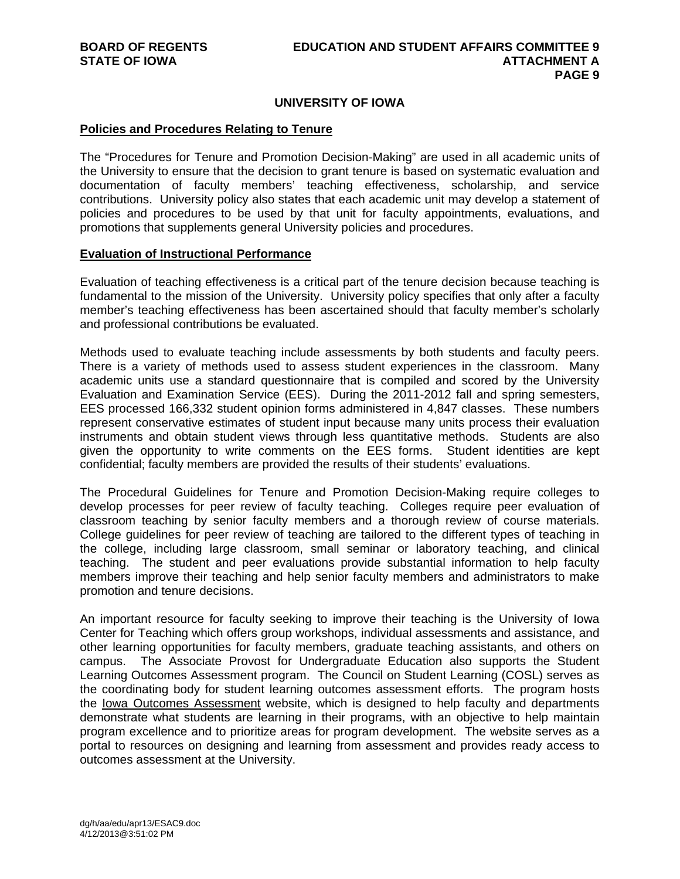# **UNIVERSITY OF IOWA**

#### **Policies and Procedures Relating to Tenure**

The "Procedures for Tenure and Promotion Decision-Making" are used in all academic units of the University to ensure that the decision to grant tenure is based on systematic evaluation and documentation of faculty members' teaching effectiveness, scholarship, and service contributions. University policy also states that each academic unit may develop a statement of policies and procedures to be used by that unit for faculty appointments, evaluations, and promotions that supplements general University policies and procedures.

#### **Evaluation of Instructional Performance**

Evaluation of teaching effectiveness is a critical part of the tenure decision because teaching is fundamental to the mission of the University. University policy specifies that only after a faculty member's teaching effectiveness has been ascertained should that faculty member's scholarly and professional contributions be evaluated.

Methods used to evaluate teaching include assessments by both students and faculty peers. There is a variety of methods used to assess student experiences in the classroom. Many academic units use a standard questionnaire that is compiled and scored by the University Evaluation and Examination Service (EES). During the 2011-2012 fall and spring semesters, EES processed 166,332 student opinion forms administered in 4,847 classes. These numbers represent conservative estimates of student input because many units process their evaluation instruments and obtain student views through less quantitative methods. Students are also given the opportunity to write comments on the EES forms. Student identities are kept confidential; faculty members are provided the results of their students' evaluations.

The Procedural Guidelines for Tenure and Promotion Decision-Making require colleges to develop processes for peer review of faculty teaching. Colleges require peer evaluation of classroom teaching by senior faculty members and a thorough review of course materials. College guidelines for peer review of teaching are tailored to the different types of teaching in the college, including large classroom, small seminar or laboratory teaching, and clinical teaching. The student and peer evaluations provide substantial information to help faculty members improve their teaching and help senior faculty members and administrators to make promotion and tenure decisions.

An important resource for faculty seeking to improve their teaching is the University of Iowa Center for Teaching which offers group workshops, individual assessments and assistance, and other learning opportunities for faculty members, graduate teaching assistants, and others on campus. The Associate Provost for Undergraduate Education also supports the Student Learning Outcomes Assessment program. The Council on Student Learning (COSL) serves as the coordinating body for student learning outcomes assessment efforts. The program hosts the Iowa Outcomes Assessment website, which is designed to help faculty and departments demonstrate what students are learning in their programs, with an objective to help maintain program excellence and to prioritize areas for program development. The website serves as a portal to resources on designing and learning from assessment and provides ready access to outcomes assessment at the University.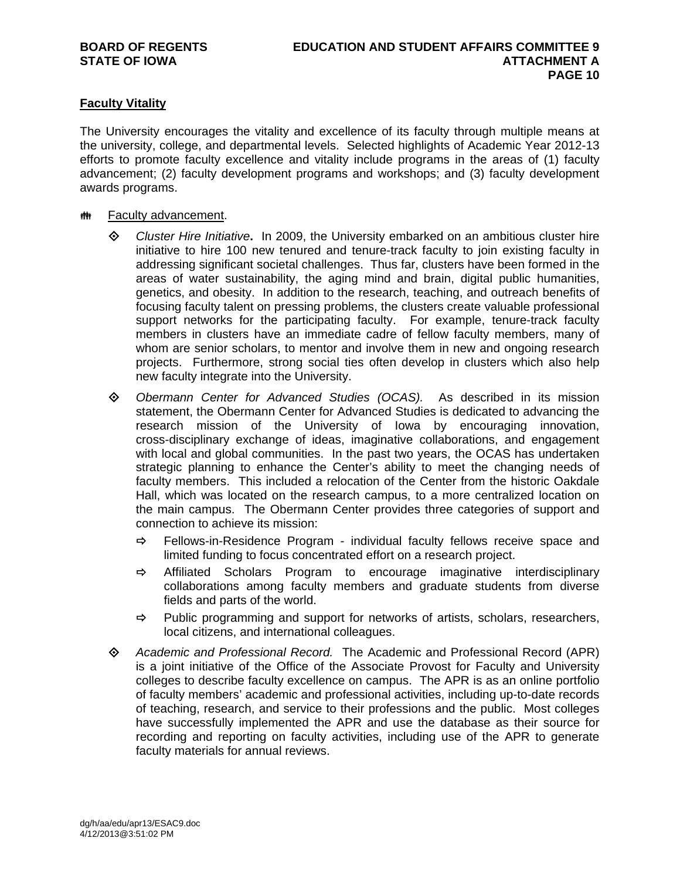# **Faculty Vitality**

The University encourages the vitality and excellence of its faculty through multiple means at the university, college, and departmental levels. Selected highlights of Academic Year 2012-13 efforts to promote faculty excellence and vitality include programs in the areas of (1) faculty advancement; (2) faculty development programs and workshops; and (3) faculty development awards programs.

## **## Faculty advancement.**

- *Cluster Hire Initiative***.** In 2009, the University embarked on an ambitious cluster hire initiative to hire 100 new tenured and tenure-track faculty to join existing faculty in addressing significant societal challenges. Thus far, clusters have been formed in the areas of water sustainability, the aging mind and brain, digital public humanities, genetics, and obesity. In addition to the research, teaching, and outreach benefits of focusing faculty talent on pressing problems, the clusters create valuable professional support networks for the participating faculty. For example, tenure-track faculty members in clusters have an immediate cadre of fellow faculty members, many of whom are senior scholars, to mentor and involve them in new and ongoing research projects. Furthermore, strong social ties often develop in clusters which also help new faculty integrate into the University.
- *Obermann Center for Advanced Studies (OCAS).* As described in its mission statement, the Obermann Center for Advanced Studies is dedicated to advancing the research mission of the University of Iowa by encouraging innovation, cross-disciplinary exchange of ideas, imaginative collaborations, and engagement with local and global communities. In the past two years, the OCAS has undertaken strategic planning to enhance the Center's ability to meet the changing needs of faculty members. This included a relocation of the Center from the historic Oakdale Hall, which was located on the research campus, to a more centralized location on the main campus. The Obermann Center provides three categories of support and connection to achieve its mission:
	- $\Rightarrow$  Fellows-in-Residence Program individual faculty fellows receive space and limited funding to focus concentrated effort on a research project.
	- $\Rightarrow$  Affiliated Scholars Program to encourage imaginative interdisciplinary collaborations among faculty members and graduate students from diverse fields and parts of the world.
	- $\Rightarrow$  Public programming and support for networks of artists, scholars, researchers, local citizens, and international colleagues.
- *Academic and Professional Record.* The Academic and Professional Record (APR) is a joint initiative of the Office of the Associate Provost for Faculty and University colleges to describe faculty excellence on campus. The APR is as an online portfolio of faculty members' academic and professional activities, including up-to-date records of teaching, research, and service to their professions and the public. Most colleges have successfully implemented the APR and use the database as their source for recording and reporting on faculty activities, including use of the APR to generate faculty materials for annual reviews.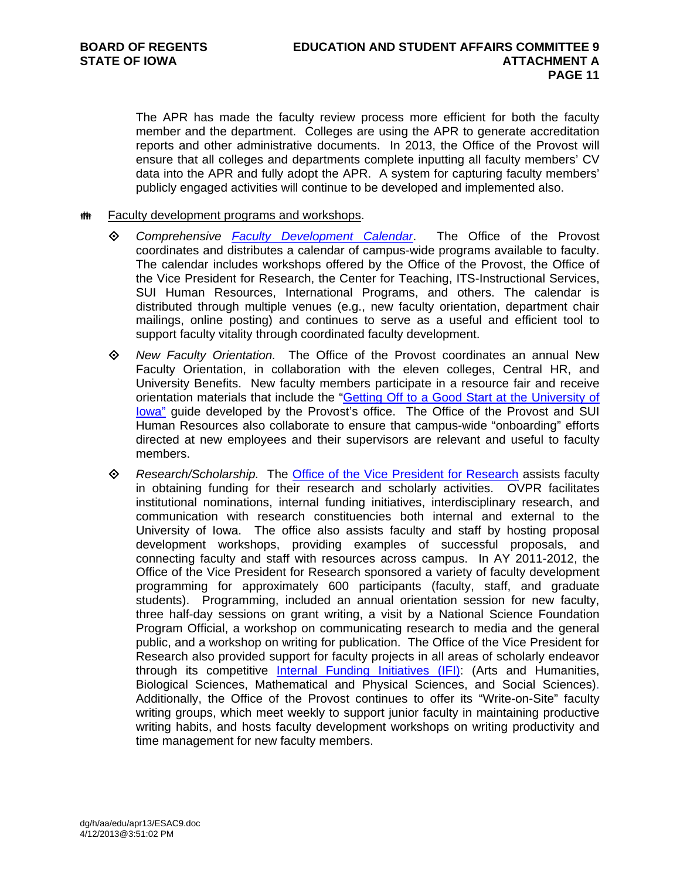The APR has made the faculty review process more efficient for both the faculty member and the department. Colleges are using the APR to generate accreditation reports and other administrative documents. In 2013, the Office of the Provost will ensure that all colleges and departments complete inputting all faculty members' CV data into the APR and fully adopt the APR. A system for capturing faculty members' publicly engaged activities will continue to be developed and implemented also.

## **## Faculty development programs and workshops.**

- *Comprehensive Faculty Development Calendar*. The Office of the Provost coordinates and distributes a calendar of campus-wide programs available to faculty. The calendar includes workshops offered by the Office of the Provost, the Office of the Vice President for Research, the Center for Teaching, ITS-Instructional Services, SUI Human Resources, International Programs, and others. The calendar is distributed through multiple venues (e.g., new faculty orientation, department chair mailings, online posting) and continues to serve as a useful and efficient tool to support faculty vitality through coordinated faculty development.
- *New Faculty Orientation.* The Office of the Provost coordinates an annual New Faculty Orientation, in collaboration with the eleven colleges, Central HR, and University Benefits. New faculty members participate in a resource fair and receive orientation materials that include the "Getting Off to a Good Start at the University of Iowa" guide developed by the Provost's office. The Office of the Provost and SUI Human Resources also collaborate to ensure that campus-wide "onboarding" efforts directed at new employees and their supervisors are relevant and useful to faculty members.
- *Research/Scholarship.* The Office of the Vice President for Research assists faculty in obtaining funding for their research and scholarly activities. OVPR facilitates institutional nominations, internal funding initiatives, interdisciplinary research, and communication with research constituencies both internal and external to the University of Iowa. The office also assists faculty and staff by hosting proposal development workshops, providing examples of successful proposals, and connecting faculty and staff with resources across campus. In AY 2011-2012, the Office of the Vice President for Research sponsored a variety of faculty development programming for approximately 600 participants (faculty, staff, and graduate students). Programming, included an annual orientation session for new faculty, three half-day sessions on grant writing, a visit by a National Science Foundation Program Official, a workshop on communicating research to media and the general public, and a workshop on writing for publication. The Office of the Vice President for Research also provided support for faculty projects in all areas of scholarly endeavor through its competitive Internal Funding Initiatives (IFI): (Arts and Humanities, Biological Sciences, Mathematical and Physical Sciences, and Social Sciences). Additionally, the Office of the Provost continues to offer its "Write-on-Site" faculty writing groups, which meet weekly to support junior faculty in maintaining productive writing habits, and hosts faculty development workshops on writing productivity and time management for new faculty members.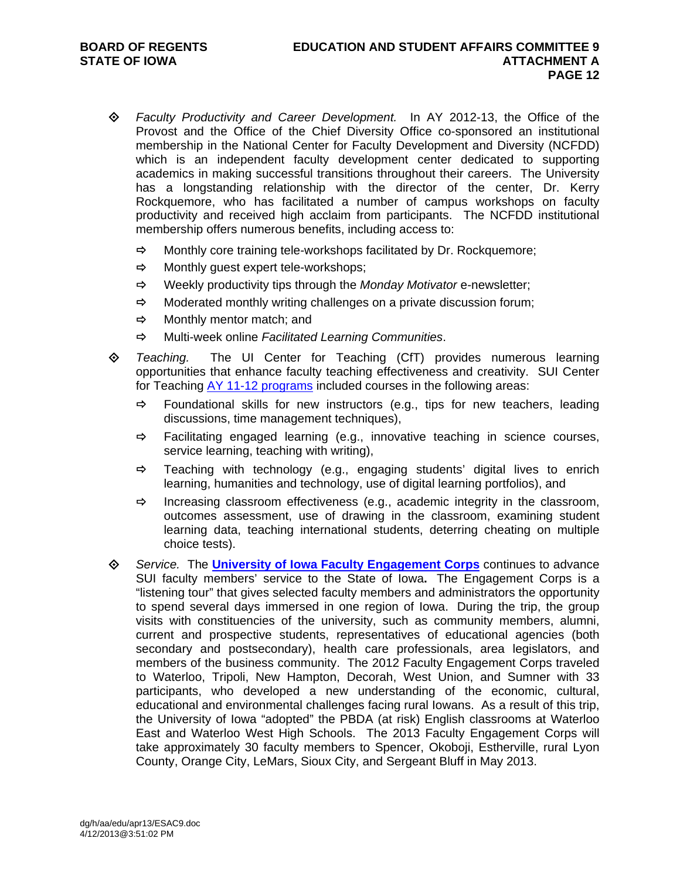- *Faculty Productivity and Career Development.* In AY 2012-13, the Office of the Provost and the Office of the Chief Diversity Office co-sponsored an institutional membership in the National Center for Faculty Development and Diversity (NCFDD) which is an independent faculty development center dedicated to supporting academics in making successful transitions throughout their careers. The University has a longstanding relationship with the director of the center, Dr. Kerry Rockquemore, who has facilitated a number of campus workshops on faculty productivity and received high acclaim from participants. The NCFDD institutional membership offers numerous benefits, including access to:
	- $\Rightarrow$  Monthly core training tele-workshops facilitated by Dr. Rockquemore;
	- $\Rightarrow$  Monthly guest expert tele-workshops;
	- Weekly productivity tips through the *Monday Motivator* e-newsletter;
	- $\Rightarrow$  Moderated monthly writing challenges on a private discussion forum;
	- $\Rightarrow$  Monthly mentor match: and
	- Multi-week online *Facilitated Learning Communities*.
- *Teaching.* The UI Center for Teaching (CfT) provides numerous learning opportunities that enhance faculty teaching effectiveness and creativity. SUI Center for Teaching AY 11-12 programs included courses in the following areas:
	- $\Rightarrow$  Foundational skills for new instructors (e.g., tips for new teachers, leading discussions, time management techniques),
	- $\Rightarrow$  Facilitating engaged learning (e.g., innovative teaching in science courses, service learning, teaching with writing),
	- $\Rightarrow$  Teaching with technology (e.g., engaging students' digital lives to enrich learning, humanities and technology, use of digital learning portfolios), and
	- $\Rightarrow$  Increasing classroom effectiveness (e.g., academic integrity in the classroom, outcomes assessment, use of drawing in the classroom, examining student learning data, teaching international students, deterring cheating on multiple choice tests).
- *Service.*The **University of Iowa Faculty Engagement Corps** continues to advance SUI faculty members' service to the State of Iowa**.** The Engagement Corps is a "listening tour" that gives selected faculty members and administrators the opportunity to spend several days immersed in one region of Iowa. During the trip, the group visits with constituencies of the university, such as community members, alumni, current and prospective students, representatives of educational agencies (both secondary and postsecondary), health care professionals, area legislators, and members of the business community. The 2012 Faculty Engagement Corps traveled to Waterloo, Tripoli, New Hampton, Decorah, West Union, and Sumner with 33 participants, who developed a new understanding of the economic, cultural, educational and environmental challenges facing rural Iowans. As a result of this trip, the University of Iowa "adopted" the PBDA (at risk) English classrooms at Waterloo East and Waterloo West High Schools. The 2013 Faculty Engagement Corps will take approximately 30 faculty members to Spencer, Okoboji, Estherville, rural Lyon County, Orange City, LeMars, Sioux City, and Sergeant Bluff in May 2013.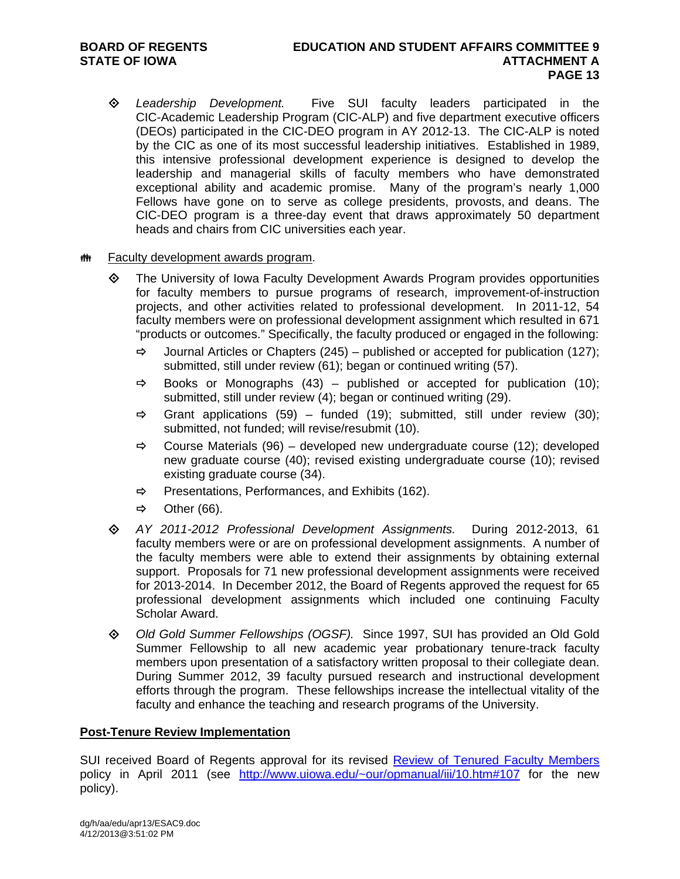- *Leadership Development.* Five SUI faculty leaders participated in the CIC-Academic Leadership Program (CIC-ALP) and five department executive officers (DEOs) participated in the CIC-DEO program in AY 2012-13. The CIC-ALP is noted by the CIC as one of its most successful leadership initiatives. Established in 1989, this intensive professional development experience is designed to develop the leadership and managerial skills of faculty members who have demonstrated exceptional ability and academic promise. Many of the program's nearly 1,000 Fellows have gone on to serve as college presidents, provosts, and deans. The CIC-DEO program is a three-day event that draws approximately 50 department heads and chairs from CIC universities each year.
- **## Faculty development awards program.** 
	- The University of Iowa Faculty Development Awards Program provides opportunities for faculty members to pursue programs of research, improvement-of-instruction projects, and other activities related to professional development. In 2011-12, 54 faculty members were on professional development assignment which resulted in 671 "products or outcomes." Specifically, the faculty produced or engaged in the following:
		- $\Rightarrow$  Journal Articles or Chapters (245) published or accepted for publication (127); submitted, still under review (61); began or continued writing (57).
		- $\Rightarrow$  Books or Monographs (43) published or accepted for publication (10); submitted, still under review (4); began or continued writing (29).
		- $\Rightarrow$  Grant applications (59) funded (19); submitted, still under review (30); submitted, not funded; will revise/resubmit (10).
		- $\Rightarrow$  Course Materials (96) developed new undergraduate course (12); developed new graduate course (40); revised existing undergraduate course (10); revised existing graduate course (34).
		- $\Rightarrow$  Presentations, Performances, and Exhibits (162).
		- $\Rightarrow$  Other (66).
	- *AY 2011-2012 Professional Development Assignments.*During 2012-2013, 61 faculty members were or are on professional development assignments. A number of the faculty members were able to extend their assignments by obtaining external support. Proposals for 71 new professional development assignments were received for 2013-2014. In December 2012, the Board of Regents approved the request for 65 professional development assignments which included one continuing Faculty Scholar Award.
	- *Old Gold Summer Fellowships (OGSF).*Since 1997, SUI has provided an Old Gold Summer Fellowship to all new academic year probationary tenure-track faculty members upon presentation of a satisfactory written proposal to their collegiate dean. During Summer 2012, 39 faculty pursued research and instructional development efforts through the program. These fellowships increase the intellectual vitality of the faculty and enhance the teaching and research programs of the University.

# **Post-Tenure Review Implementation**

SUI received Board of Regents approval for its revised Review of Tenured Faculty Members policy in April 2011 (see http://www.uiowa.edu/~our/opmanual/iii/10.htm#107 for the new policy).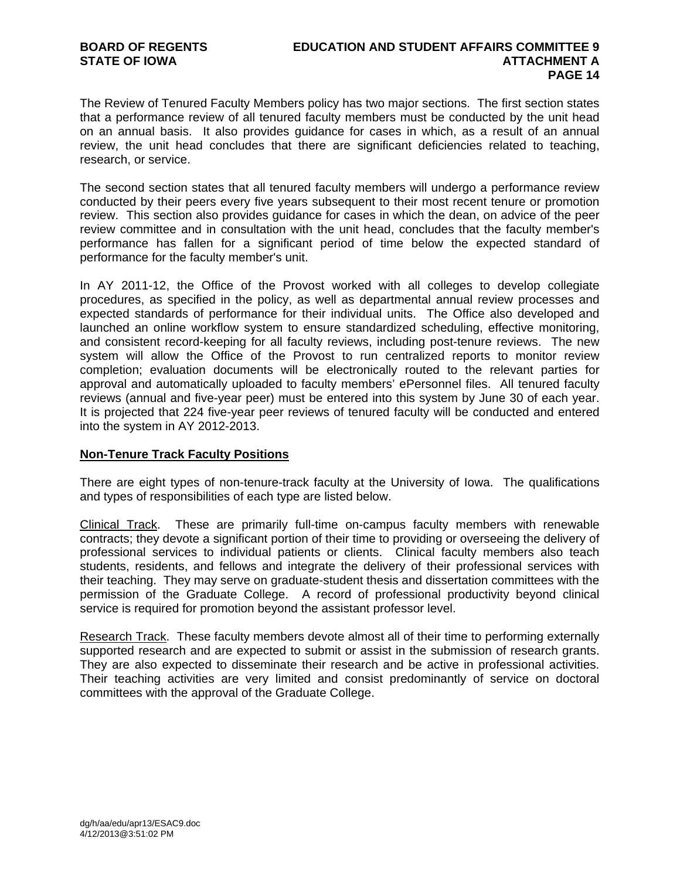The Review of Tenured Faculty Members policy has two major sections. The first section states that a performance review of all tenured faculty members must be conducted by the unit head on an annual basis. It also provides guidance for cases in which, as a result of an annual review, the unit head concludes that there are significant deficiencies related to teaching, research, or service.

The second section states that all tenured faculty members will undergo a performance review conducted by their peers every five years subsequent to their most recent tenure or promotion review. This section also provides guidance for cases in which the dean, on advice of the peer review committee and in consultation with the unit head, concludes that the faculty member's performance has fallen for a significant period of time below the expected standard of performance for the faculty member's unit.

In AY 2011-12, the Office of the Provost worked with all colleges to develop collegiate procedures, as specified in the policy, as well as departmental annual review processes and expected standards of performance for their individual units. The Office also developed and launched an online workflow system to ensure standardized scheduling, effective monitoring, and consistent record-keeping for all faculty reviews, including post-tenure reviews. The new system will allow the Office of the Provost to run centralized reports to monitor review completion; evaluation documents will be electronically routed to the relevant parties for approval and automatically uploaded to faculty members' ePersonnel files. All tenured faculty reviews (annual and five-year peer) must be entered into this system by June 30 of each year. It is projected that 224 five-year peer reviews of tenured faculty will be conducted and entered into the system in AY 2012-2013.

# **Non-Tenure Track Faculty Positions**

There are eight types of non-tenure-track faculty at the University of Iowa. The qualifications and types of responsibilities of each type are listed below.

Clinical Track. These are primarily full-time on-campus faculty members with renewable contracts; they devote a significant portion of their time to providing or overseeing the delivery of professional services to individual patients or clients. Clinical faculty members also teach students, residents, and fellows and integrate the delivery of their professional services with their teaching. They may serve on graduate-student thesis and dissertation committees with the permission of the Graduate College. A record of professional productivity beyond clinical service is required for promotion beyond the assistant professor level.

Research Track. These faculty members devote almost all of their time to performing externally supported research and are expected to submit or assist in the submission of research grants. They are also expected to disseminate their research and be active in professional activities. Their teaching activities are very limited and consist predominantly of service on doctoral committees with the approval of the Graduate College.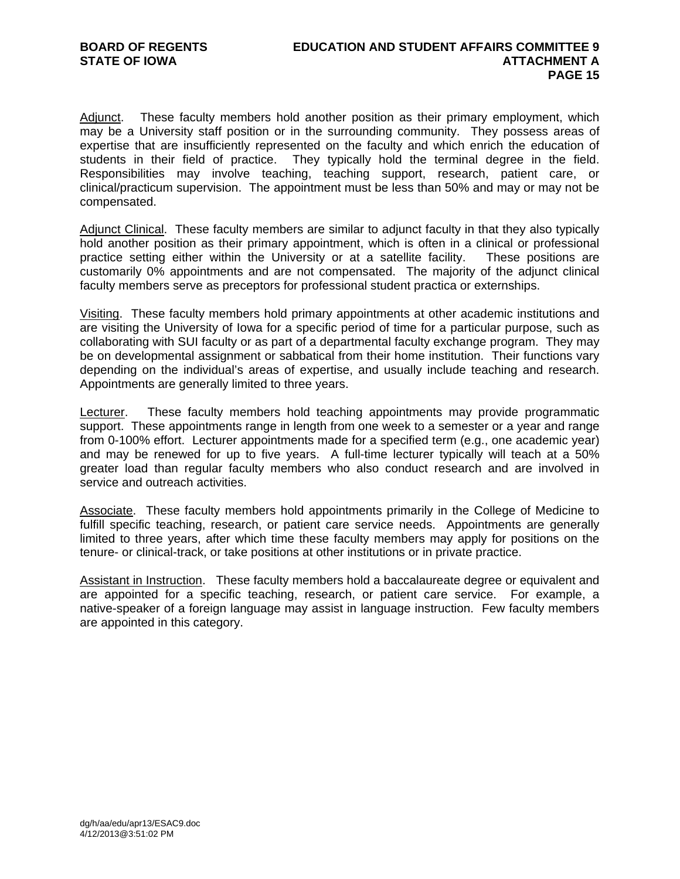Adjunct. These faculty members hold another position as their primary employment, which may be a University staff position or in the surrounding community. They possess areas of expertise that are insufficiently represented on the faculty and which enrich the education of students in their field of practice. They typically hold the terminal degree in the field. Responsibilities may involve teaching, teaching support, research, patient care, or clinical/practicum supervision. The appointment must be less than 50% and may or may not be compensated.

Adjunct Clinical. These faculty members are similar to adjunct faculty in that they also typically hold another position as their primary appointment, which is often in a clinical or professional practice setting either within the University or at a satellite facility. These positions are customarily 0% appointments and are not compensated. The majority of the adjunct clinical faculty members serve as preceptors for professional student practica or externships.

Visiting. These faculty members hold primary appointments at other academic institutions and are visiting the University of Iowa for a specific period of time for a particular purpose, such as collaborating with SUI faculty or as part of a departmental faculty exchange program. They may be on developmental assignment or sabbatical from their home institution. Their functions vary depending on the individual's areas of expertise, and usually include teaching and research. Appointments are generally limited to three years.

Lecturer. These faculty members hold teaching appointments may provide programmatic support. These appointments range in length from one week to a semester or a year and range from 0-100% effort. Lecturer appointments made for a specified term (e.g., one academic year) and may be renewed for up to five years. A full-time lecturer typically will teach at a 50% greater load than regular faculty members who also conduct research and are involved in service and outreach activities.

Associate. These faculty members hold appointments primarily in the College of Medicine to fulfill specific teaching, research, or patient care service needs. Appointments are generally limited to three years, after which time these faculty members may apply for positions on the tenure- or clinical-track, or take positions at other institutions or in private practice.

Assistant in Instruction. These faculty members hold a baccalaureate degree or equivalent and are appointed for a specific teaching, research, or patient care service. For example, a native-speaker of a foreign language may assist in language instruction. Few faculty members are appointed in this category.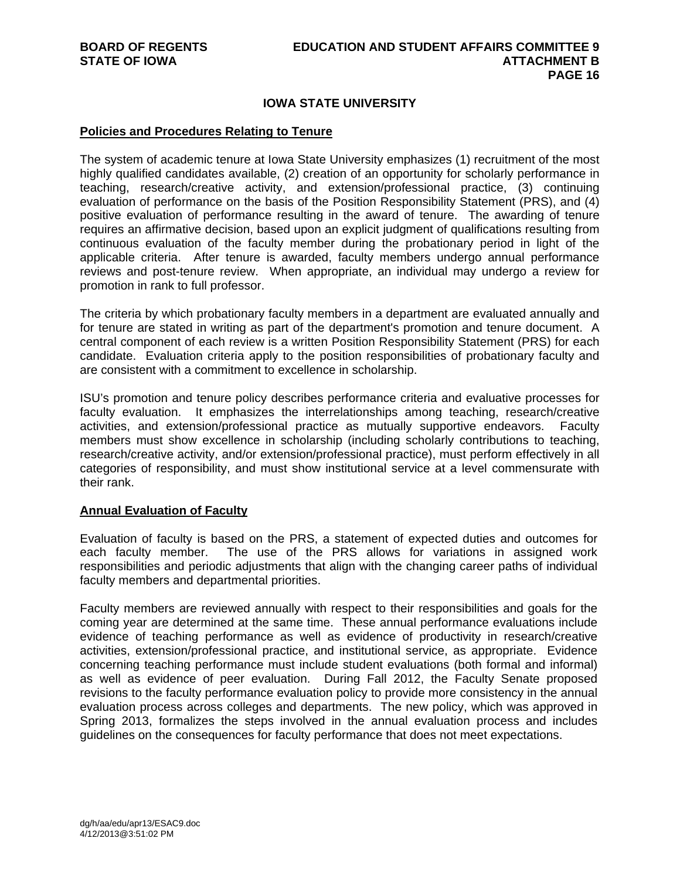# **IOWA STATE UNIVERSITY**

### **Policies and Procedures Relating to Tenure**

The system of academic tenure at Iowa State University emphasizes (1) recruitment of the most highly qualified candidates available, (2) creation of an opportunity for scholarly performance in teaching, research/creative activity, and extension/professional practice, (3) continuing evaluation of performance on the basis of the Position Responsibility Statement (PRS), and (4) positive evaluation of performance resulting in the award of tenure. The awarding of tenure requires an affirmative decision, based upon an explicit judgment of qualifications resulting from continuous evaluation of the faculty member during the probationary period in light of the applicable criteria. After tenure is awarded, faculty members undergo annual performance reviews and post-tenure review. When appropriate, an individual may undergo a review for promotion in rank to full professor.

The criteria by which probationary faculty members in a department are evaluated annually and for tenure are stated in writing as part of the department's promotion and tenure document. A central component of each review is a written Position Responsibility Statement (PRS) for each candidate. Evaluation criteria apply to the position responsibilities of probationary faculty and are consistent with a commitment to excellence in scholarship.

ISU's promotion and tenure policy describes performance criteria and evaluative processes for faculty evaluation. It emphasizes the interrelationships among teaching, research/creative activities, and extension/professional practice as mutually supportive endeavors. Faculty members must show excellence in scholarship (including scholarly contributions to teaching, research/creative activity, and/or extension/professional practice), must perform effectively in all categories of responsibility, and must show institutional service at a level commensurate with their rank.

## **Annual Evaluation of Faculty**

Evaluation of faculty is based on the PRS, a statement of expected duties and outcomes for each faculty member. The use of the PRS allows for variations in assigned work responsibilities and periodic adjustments that align with the changing career paths of individual faculty members and departmental priorities.

Faculty members are reviewed annually with respect to their responsibilities and goals for the coming year are determined at the same time. These annual performance evaluations include evidence of teaching performance as well as evidence of productivity in research/creative activities, extension/professional practice, and institutional service, as appropriate. Evidence concerning teaching performance must include student evaluations (both formal and informal) as well as evidence of peer evaluation. During Fall 2012, the Faculty Senate proposed revisions to the faculty performance evaluation policy to provide more consistency in the annual evaluation process across colleges and departments. The new policy, which was approved in Spring 2013, formalizes the steps involved in the annual evaluation process and includes guidelines on the consequences for faculty performance that does not meet expectations.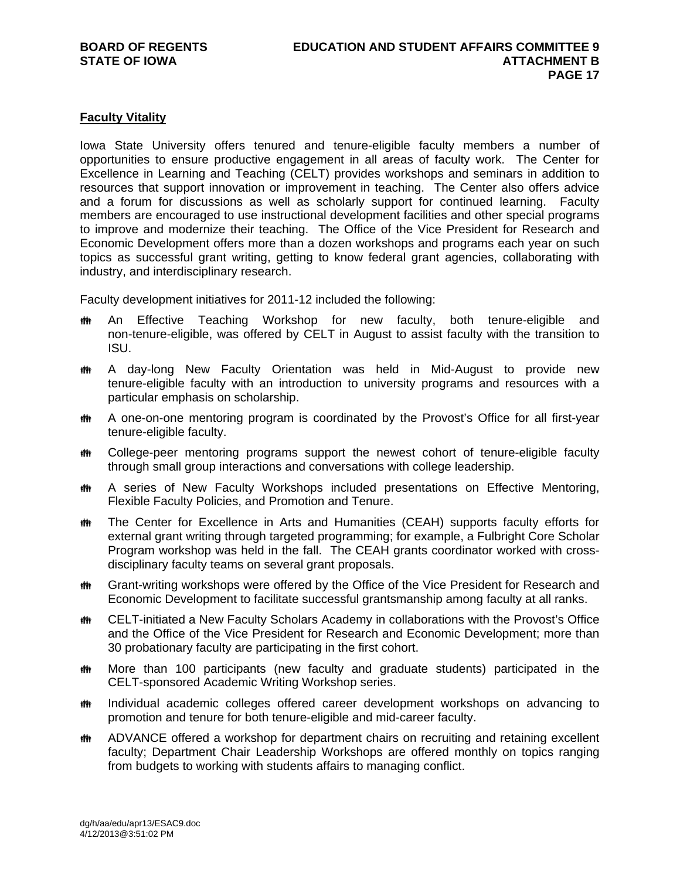# **Faculty Vitality**

Iowa State University offers tenured and tenure-eligible faculty members a number of opportunities to ensure productive engagement in all areas of faculty work. The Center for Excellence in Learning and Teaching (CELT) provides workshops and seminars in addition to resources that support innovation or improvement in teaching. The Center also offers advice and a forum for discussions as well as scholarly support for continued learning. Faculty members are encouraged to use instructional development facilities and other special programs to improve and modernize their teaching. The Office of the Vice President for Research and Economic Development offers more than a dozen workshops and programs each year on such topics as successful grant writing, getting to know federal grant agencies, collaborating with industry, and interdisciplinary research.

Faculty development initiatives for 2011-12 included the following:

- **##** An Effective Teaching Workshop for new faculty, both tenure-eligible and non-tenure-eligible, was offered by CELT in August to assist faculty with the transition to ISU.
- **#\*** A day-long New Faculty Orientation was held in Mid-August to provide new tenure-eligible faculty with an introduction to university programs and resources with a particular emphasis on scholarship.
- **##** A one-on-one mentoring program is coordinated by the Provost's Office for all first-year tenure-eligible faculty.
- **#\*\*** College-peer mentoring programs support the newest cohort of tenure-eligible faculty through small group interactions and conversations with college leadership.
- **##** A series of New Faculty Workshops included presentations on Effective Mentoring, Flexible Faculty Policies, and Promotion and Tenure.
- The Center for Excellence in Arts and Humanities (CEAH) supports faculty efforts for external grant writing through targeted programming; for example, a Fulbright Core Scholar Program workshop was held in the fall. The CEAH grants coordinator worked with crossdisciplinary faculty teams on several grant proposals.
- **##** Grant-writing workshops were offered by the Office of the Vice President for Research and Economic Development to facilitate successful grantsmanship among faculty at all ranks.
- **## CELT-initiated a New Faculty Scholars Academy in collaborations with the Provost's Office** and the Office of the Vice President for Research and Economic Development; more than 30 probationary faculty are participating in the first cohort.
- the More than 100 participants (new faculty and graduate students) participated in the CELT-sponsored Academic Writing Workshop series.
- *I***M** Individual academic colleges offered career development workshops on advancing to promotion and tenure for both tenure-eligible and mid-career faculty.
- **##** ADVANCE offered a workshop for department chairs on recruiting and retaining excellent faculty; Department Chair Leadership Workshops are offered monthly on topics ranging from budgets to working with students affairs to managing conflict.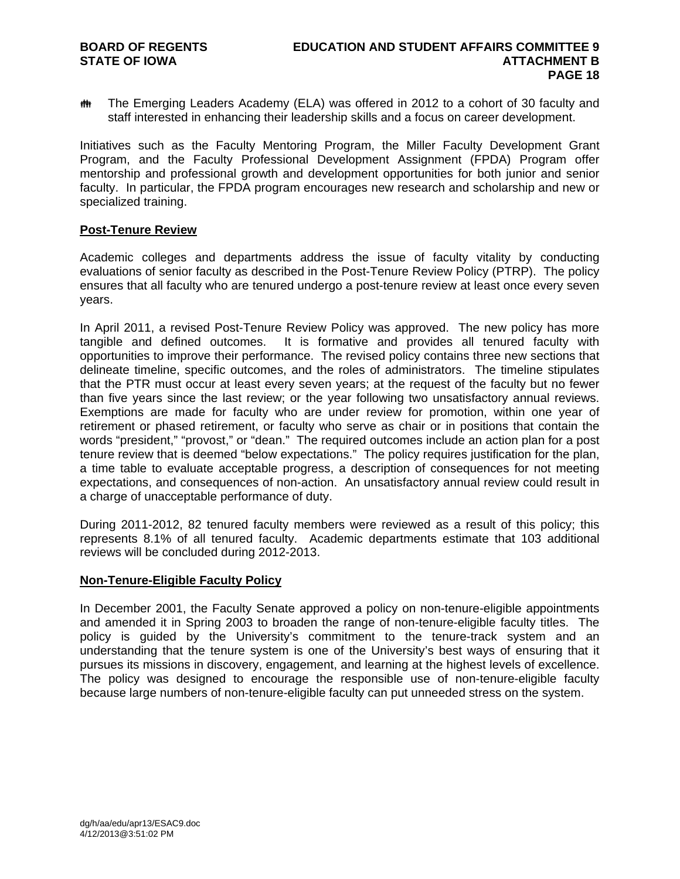**##** The Emerging Leaders Academy (ELA) was offered in 2012 to a cohort of 30 faculty and staff interested in enhancing their leadership skills and a focus on career development.

Initiatives such as the Faculty Mentoring Program, the Miller Faculty Development Grant Program, and the Faculty Professional Development Assignment (FPDA) Program offer mentorship and professional growth and development opportunities for both junior and senior faculty. In particular, the FPDA program encourages new research and scholarship and new or specialized training.

#### **Post-Tenure Review**

Academic colleges and departments address the issue of faculty vitality by conducting evaluations of senior faculty as described in the Post-Tenure Review Policy (PTRP). The policy ensures that all faculty who are tenured undergo a post-tenure review at least once every seven years.

In April 2011, a revised Post-Tenure Review Policy was approved. The new policy has more tangible and defined outcomes. It is formative and provides all tenured faculty with opportunities to improve their performance. The revised policy contains three new sections that delineate timeline, specific outcomes, and the roles of administrators. The timeline stipulates that the PTR must occur at least every seven years; at the request of the faculty but no fewer than five years since the last review; or the year following two unsatisfactory annual reviews. Exemptions are made for faculty who are under review for promotion, within one year of retirement or phased retirement, or faculty who serve as chair or in positions that contain the words "president," "provost," or "dean." The required outcomes include an action plan for a post tenure review that is deemed "below expectations." The policy requires justification for the plan, a time table to evaluate acceptable progress, a description of consequences for not meeting expectations, and consequences of non-action. An unsatisfactory annual review could result in a charge of unacceptable performance of duty.

During 2011-2012, 82 tenured faculty members were reviewed as a result of this policy; this represents 8.1% of all tenured faculty. Academic departments estimate that 103 additional reviews will be concluded during 2012-2013.

## **Non-Tenure-Eligible Faculty Policy**

In December 2001, the Faculty Senate approved a policy on non-tenure-eligible appointments and amended it in Spring 2003 to broaden the range of non-tenure-eligible faculty titles. The policy is guided by the University's commitment to the tenure-track system and an understanding that the tenure system is one of the University's best ways of ensuring that it pursues its missions in discovery, engagement, and learning at the highest levels of excellence. The policy was designed to encourage the responsible use of non-tenure-eligible faculty because large numbers of non-tenure-eligible faculty can put unneeded stress on the system.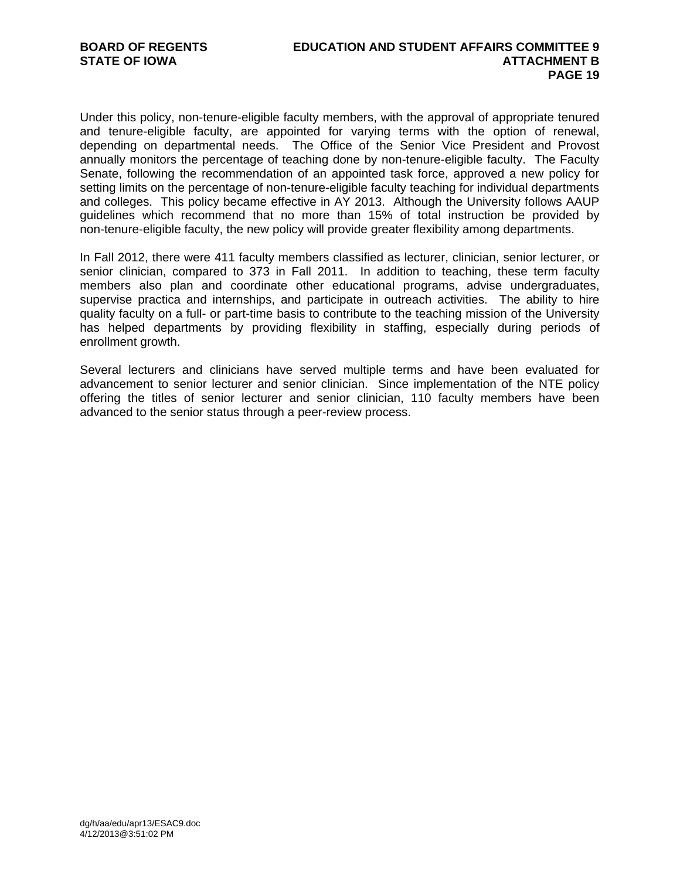Under this policy, non-tenure-eligible faculty members, with the approval of appropriate tenured and tenure-eligible faculty, are appointed for varying terms with the option of renewal, depending on departmental needs. The Office of the Senior Vice President and Provost annually monitors the percentage of teaching done by non-tenure-eligible faculty. The Faculty Senate, following the recommendation of an appointed task force, approved a new policy for setting limits on the percentage of non-tenure-eligible faculty teaching for individual departments and colleges. This policy became effective in AY 2013. Although the University follows AAUP guidelines which recommend that no more than 15% of total instruction be provided by non-tenure-eligible faculty, the new policy will provide greater flexibility among departments.

In Fall 2012, there were 411 faculty members classified as lecturer, clinician, senior lecturer, or senior clinician, compared to 373 in Fall 2011. In addition to teaching, these term faculty members also plan and coordinate other educational programs, advise undergraduates, supervise practica and internships, and participate in outreach activities. The ability to hire quality faculty on a full- or part-time basis to contribute to the teaching mission of the University has helped departments by providing flexibility in staffing, especially during periods of enrollment growth.

Several lecturers and clinicians have served multiple terms and have been evaluated for advancement to senior lecturer and senior clinician. Since implementation of the NTE policy offering the titles of senior lecturer and senior clinician, 110 faculty members have been advanced to the senior status through a peer-review process.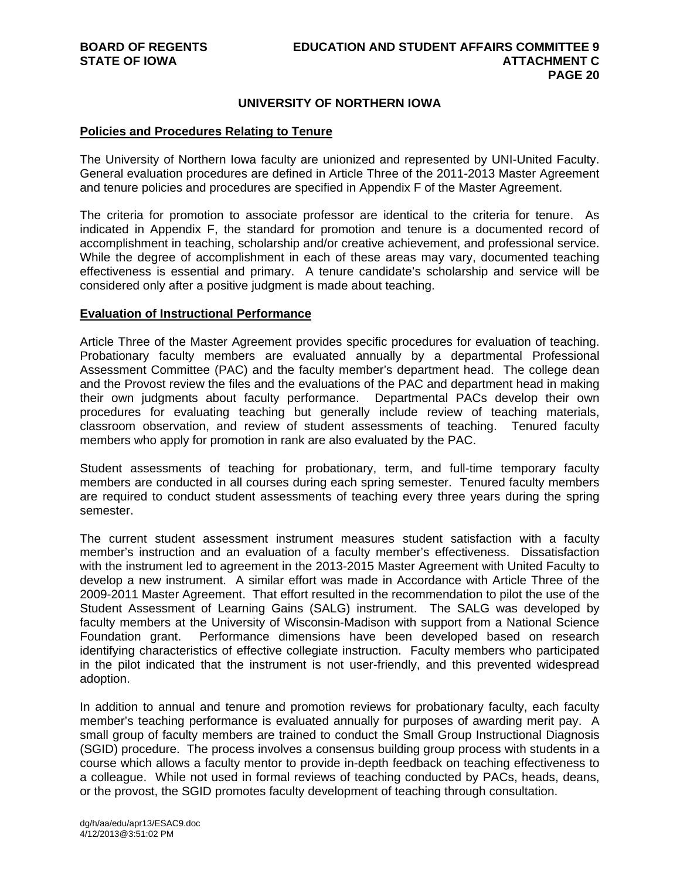## **UNIVERSITY OF NORTHERN IOWA**

#### **Policies and Procedures Relating to Tenure**

The University of Northern Iowa faculty are unionized and represented by UNI-United Faculty. General evaluation procedures are defined in Article Three of the 2011-2013 Master Agreement and tenure policies and procedures are specified in Appendix F of the Master Agreement.

The criteria for promotion to associate professor are identical to the criteria for tenure. As indicated in Appendix F, the standard for promotion and tenure is a documented record of accomplishment in teaching, scholarship and/or creative achievement, and professional service. While the degree of accomplishment in each of these areas may vary, documented teaching effectiveness is essential and primary. A tenure candidate's scholarship and service will be considered only after a positive judgment is made about teaching.

#### **Evaluation of Instructional Performance**

Article Three of the Master Agreement provides specific procedures for evaluation of teaching. Probationary faculty members are evaluated annually by a departmental Professional Assessment Committee (PAC) and the faculty member's department head. The college dean and the Provost review the files and the evaluations of the PAC and department head in making their own judgments about faculty performance. Departmental PACs develop their own procedures for evaluating teaching but generally include review of teaching materials, classroom observation, and review of student assessments of teaching. Tenured faculty members who apply for promotion in rank are also evaluated by the PAC.

Student assessments of teaching for probationary, term, and full-time temporary faculty members are conducted in all courses during each spring semester. Tenured faculty members are required to conduct student assessments of teaching every three years during the spring semester.

The current student assessment instrument measures student satisfaction with a faculty member's instruction and an evaluation of a faculty member's effectiveness. Dissatisfaction with the instrument led to agreement in the 2013-2015 Master Agreement with United Faculty to develop a new instrument. A similar effort was made in Accordance with Article Three of the 2009-2011 Master Agreement. That effort resulted in the recommendation to pilot the use of the Student Assessment of Learning Gains (SALG) instrument. The SALG was developed by faculty members at the University of Wisconsin-Madison with support from a National Science Foundation grant. Performance dimensions have been developed based on research identifying characteristics of effective collegiate instruction. Faculty members who participated in the pilot indicated that the instrument is not user-friendly, and this prevented widespread adoption.

In addition to annual and tenure and promotion reviews for probationary faculty, each faculty member's teaching performance is evaluated annually for purposes of awarding merit pay. A small group of faculty members are trained to conduct the Small Group Instructional Diagnosis (SGID) procedure. The process involves a consensus building group process with students in a course which allows a faculty mentor to provide in-depth feedback on teaching effectiveness to a colleague. While not used in formal reviews of teaching conducted by PACs, heads, deans, or the provost, the SGID promotes faculty development of teaching through consultation.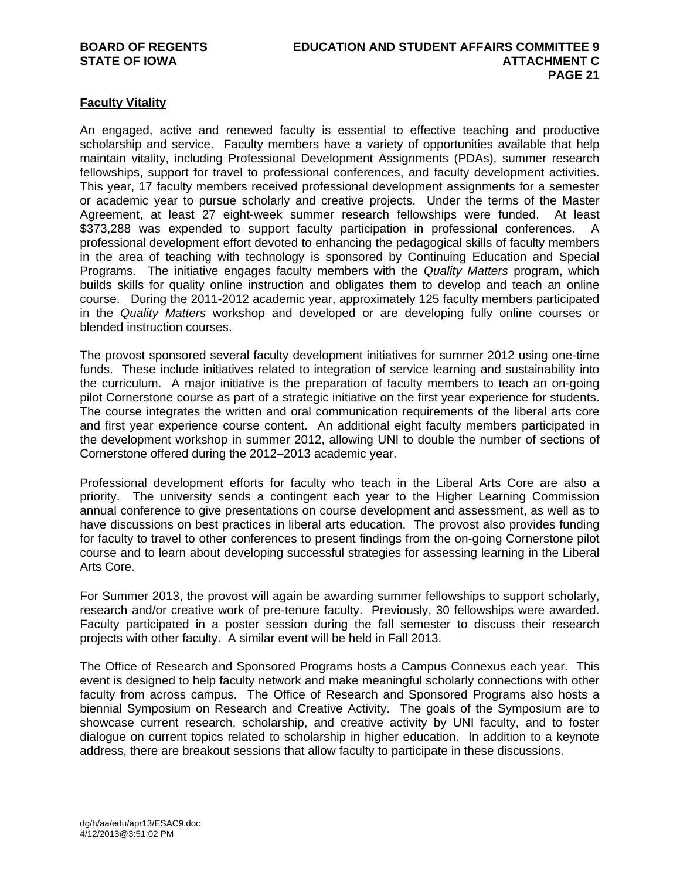# **Faculty Vitality**

An engaged, active and renewed faculty is essential to effective teaching and productive scholarship and service. Faculty members have a variety of opportunities available that help maintain vitality, including Professional Development Assignments (PDAs), summer research fellowships, support for travel to professional conferences, and faculty development activities. This year, 17 faculty members received professional development assignments for a semester or academic year to pursue scholarly and creative projects. Under the terms of the Master Agreement, at least 27 eight-week summer research fellowships were funded. At least \$373,288 was expended to support faculty participation in professional conferences. A professional development effort devoted to enhancing the pedagogical skills of faculty members in the area of teaching with technology is sponsored by Continuing Education and Special Programs. The initiative engages faculty members with the *Quality Matters* program, which builds skills for quality online instruction and obligates them to develop and teach an online course. During the 2011-2012 academic year, approximately 125 faculty members participated in the *Quality Matters* workshop and developed or are developing fully online courses or blended instruction courses.

The provost sponsored several faculty development initiatives for summer 2012 using one-time funds. These include initiatives related to integration of service learning and sustainability into the curriculum. A major initiative is the preparation of faculty members to teach an on-going pilot Cornerstone course as part of a strategic initiative on the first year experience for students. The course integrates the written and oral communication requirements of the liberal arts core and first year experience course content. An additional eight faculty members participated in the development workshop in summer 2012, allowing UNI to double the number of sections of Cornerstone offered during the 2012–2013 academic year.

Professional development efforts for faculty who teach in the Liberal Arts Core are also a priority. The university sends a contingent each year to the Higher Learning Commission annual conference to give presentations on course development and assessment, as well as to have discussions on best practices in liberal arts education. The provost also provides funding for faculty to travel to other conferences to present findings from the on-going Cornerstone pilot course and to learn about developing successful strategies for assessing learning in the Liberal Arts Core.

For Summer 2013, the provost will again be awarding summer fellowships to support scholarly, research and/or creative work of pre-tenure faculty. Previously, 30 fellowships were awarded. Faculty participated in a poster session during the fall semester to discuss their research projects with other faculty. A similar event will be held in Fall 2013.

The Office of Research and Sponsored Programs hosts a Campus Connexus each year. This event is designed to help faculty network and make meaningful scholarly connections with other faculty from across campus. The Office of Research and Sponsored Programs also hosts a biennial Symposium on Research and Creative Activity. The goals of the Symposium are to showcase current research, scholarship, and creative activity by UNI faculty, and to foster dialogue on current topics related to scholarship in higher education. In addition to a keynote address, there are breakout sessions that allow faculty to participate in these discussions.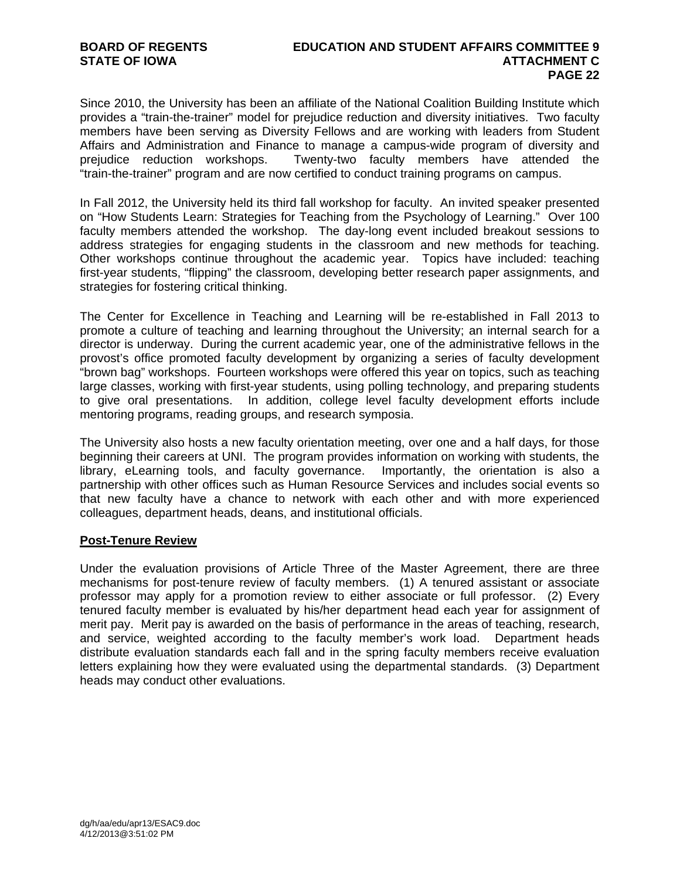Since 2010, the University has been an affiliate of the National Coalition Building Institute which provides a "train-the-trainer" model for prejudice reduction and diversity initiatives. Two faculty members have been serving as Diversity Fellows and are working with leaders from Student Affairs and Administration and Finance to manage a campus-wide program of diversity and prejudice reduction workshops. Twenty-two faculty members have attended the "train-the-trainer" program and are now certified to conduct training programs on campus.

In Fall 2012, the University held its third fall workshop for faculty. An invited speaker presented on "How Students Learn: Strategies for Teaching from the Psychology of Learning." Over 100 faculty members attended the workshop. The day-long event included breakout sessions to address strategies for engaging students in the classroom and new methods for teaching. Other workshops continue throughout the academic year. Topics have included: teaching first-year students, "flipping" the classroom, developing better research paper assignments, and strategies for fostering critical thinking.

The Center for Excellence in Teaching and Learning will be re-established in Fall 2013 to promote a culture of teaching and learning throughout the University; an internal search for a director is underway. During the current academic year, one of the administrative fellows in the provost's office promoted faculty development by organizing a series of faculty development "brown bag" workshops. Fourteen workshops were offered this year on topics, such as teaching large classes, working with first-year students, using polling technology, and preparing students to give oral presentations. In addition, college level faculty development efforts include mentoring programs, reading groups, and research symposia.

The University also hosts a new faculty orientation meeting, over one and a half days, for those beginning their careers at UNI. The program provides information on working with students, the library, eLearning tools, and faculty governance. Importantly, the orientation is also a partnership with other offices such as Human Resource Services and includes social events so that new faculty have a chance to network with each other and with more experienced colleagues, department heads, deans, and institutional officials.

## **Post-Tenure Review**

Under the evaluation provisions of Article Three of the Master Agreement, there are three mechanisms for post-tenure review of faculty members. (1) A tenured assistant or associate professor may apply for a promotion review to either associate or full professor. (2) Every tenured faculty member is evaluated by his/her department head each year for assignment of merit pay. Merit pay is awarded on the basis of performance in the areas of teaching, research, and service, weighted according to the faculty member's work load. Department heads distribute evaluation standards each fall and in the spring faculty members receive evaluation letters explaining how they were evaluated using the departmental standards. (3) Department heads may conduct other evaluations.